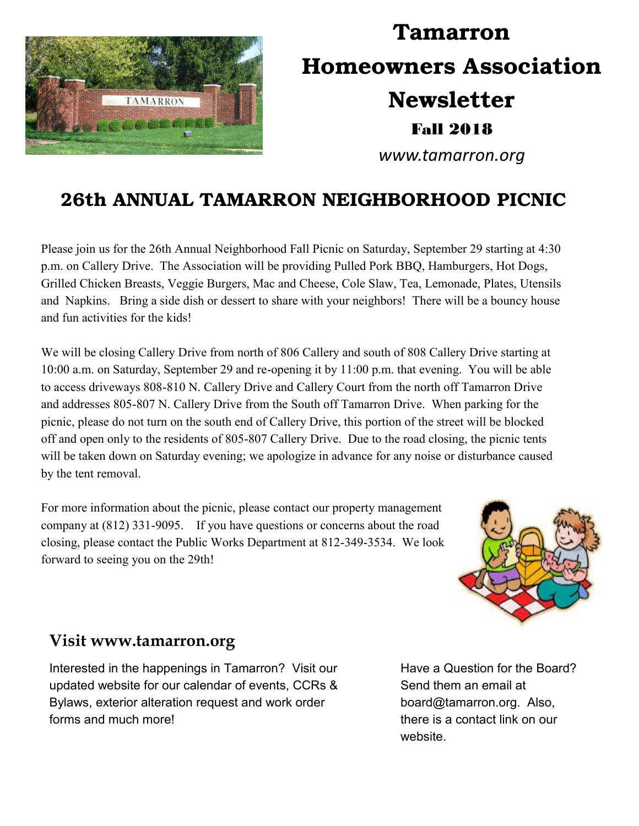

# **Tamarron Homeowners Association Newsletter** Fall 2018

*www.tamarron.org*

# **26th ANNUAL TAMARRON NEIGHBORHOOD PICNIC**

Please join us for the 26th Annual Neighborhood Fall Picnic on Saturday, September 29 starting at 4:30 p.m. on Callery Drive. The Association will be providing Pulled Pork BBQ, Hamburgers, Hot Dogs, Grilled Chicken Breasts, Veggie Burgers, Mac and Cheese, Cole Slaw, Tea, Lemonade, Plates, Utensils and Napkins. Bring a side dish or dessert to share with your neighbors! There will be a bouncy house and fun activities for the kids!

We will be closing Callery Drive from north of 806 Callery and south of 808 Callery Drive starting at 10:00 a.m. on Saturday, September 29 and re-opening it by 11:00 p.m. that evening. You will be able to access driveways 808-810 N. Callery Drive and Callery Court from the north off Tamarron Drive and addresses 805-807 N. Callery Drive from the South off Tamarron Drive. When parking for the picnic, please do not turn on the south end of Callery Drive, this portion of the street will be blocked off and open only to the residents of 805-807 Callery Drive. Due to the road closing, the picnic tents will be taken down on Saturday evening; we apologize in advance for any noise or disturbance caused by the tent removal.

For more information about the picnic, please contact our property management company at (812) 331-9095. If you have questions or concerns about the road closing, please contact the Public Works Department at 812-349-3534. We look forward to seeing you on the 29th!



### **Visit www.tamarron.org**

Interested in the happenings in Tamarron? Visit our updated website for our calendar of events, CCRs & Bylaws, exterior alteration request and work order forms and much more!

Have a Question for the Board? Send them an email at board@tamarron.org. Also, there is a contact link on our website.